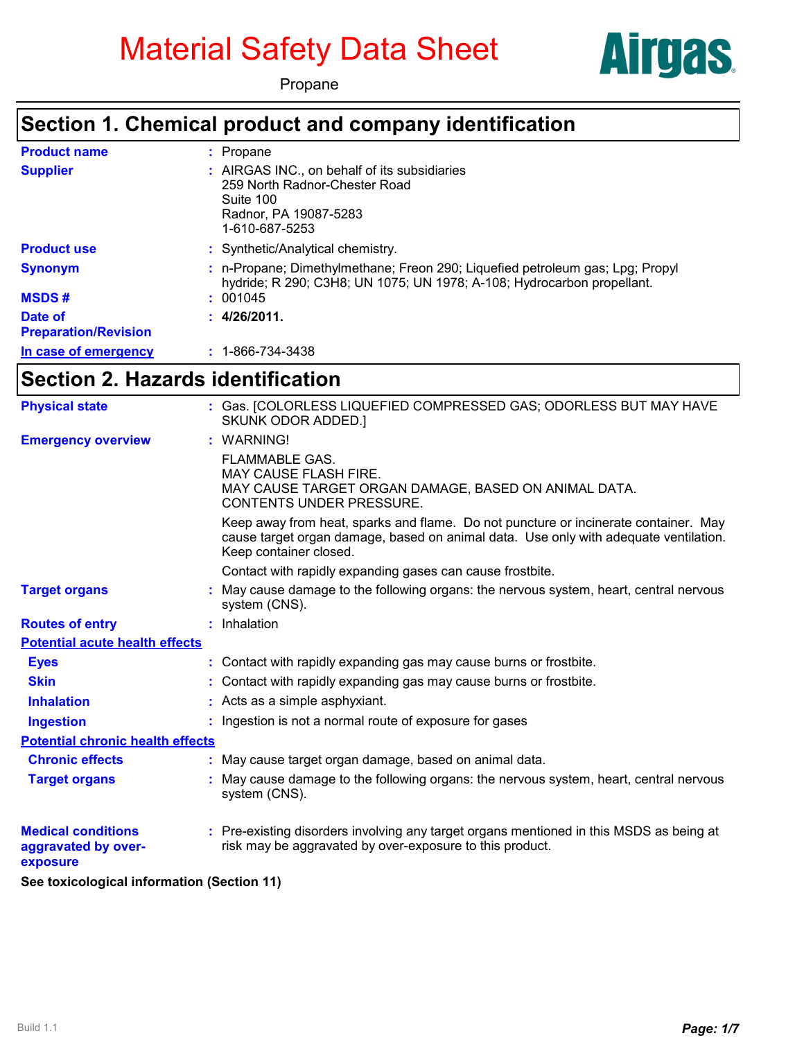# Material Safety Data Sheet





### **Section 1. Chemical product and company identification**

| <b>Product name</b>                    | : Propane                                                                                                                                               |
|----------------------------------------|---------------------------------------------------------------------------------------------------------------------------------------------------------|
| <b>Supplier</b>                        | : AIRGAS INC., on behalf of its subsidiaries<br>259 North Radnor-Chester Road<br>Suite 100<br>Radnor, PA 19087-5283<br>1-610-687-5253                   |
| <b>Product use</b>                     | : Synthetic/Analytical chemistry.                                                                                                                       |
| <b>Synonym</b>                         | : n-Propane; Dimethylmethane; Freon 290; Liquefied petroleum gas; Lpg; Propyl<br>hydride; R 290; C3H8; UN 1075; UN 1978; A-108; Hydrocarbon propellant. |
| <b>MSDS#</b>                           | : 001045                                                                                                                                                |
| Date of<br><b>Preparation/Revision</b> | : 4/26/2011.                                                                                                                                            |
| In case of emergency                   | $: 1 - 866 - 734 - 3438$                                                                                                                                |

#### **Section 2. Hazards identification**

| <b>Physical state</b>                                        | : Gas. [COLORLESS LIQUEFIED COMPRESSED GAS; ODORLESS BUT MAY HAVE<br>SKUNK ODOR ADDED.]                                                                                                               |
|--------------------------------------------------------------|-------------------------------------------------------------------------------------------------------------------------------------------------------------------------------------------------------|
| <b>Emergency overview</b>                                    | : WARNING!                                                                                                                                                                                            |
|                                                              | <b>FLAMMABLE GAS.</b><br>MAY CAUSE FLASH FIRE.<br>MAY CAUSE TARGET ORGAN DAMAGE, BASED ON ANIMAL DATA.<br><b>CONTENTS UNDER PRESSURE.</b>                                                             |
|                                                              | Keep away from heat, sparks and flame. Do not puncture or incinerate container. May<br>cause target organ damage, based on animal data. Use only with adequate ventilation.<br>Keep container closed. |
|                                                              | Contact with rapidly expanding gases can cause frostbite.                                                                                                                                             |
| <b>Target organs</b>                                         | : May cause damage to the following organs: the nervous system, heart, central nervous<br>system (CNS).                                                                                               |
| <b>Routes of entry</b>                                       | : Inhalation                                                                                                                                                                                          |
| <b>Potential acute health effects</b>                        |                                                                                                                                                                                                       |
| <b>Eyes</b>                                                  | : Contact with rapidly expanding gas may cause burns or frostbite.                                                                                                                                    |
| <b>Skin</b>                                                  | : Contact with rapidly expanding gas may cause burns or frostbite.                                                                                                                                    |
| <b>Inhalation</b>                                            | : Acts as a simple asphyxiant.                                                                                                                                                                        |
| <b>Ingestion</b>                                             | : Ingestion is not a normal route of exposure for gases                                                                                                                                               |
| <b>Potential chronic health effects</b>                      |                                                                                                                                                                                                       |
| <b>Chronic effects</b>                                       | : May cause target organ damage, based on animal data.                                                                                                                                                |
| <b>Target organs</b>                                         | : May cause damage to the following organs: the nervous system, heart, central nervous<br>system (CNS).                                                                                               |
| <b>Medical conditions</b><br>aggravated by over-<br>exposure | : Pre-existing disorders involving any target organs mentioned in this MSDS as being at<br>risk may be aggravated by over-exposure to this product.                                                   |
| See toxicological information (Section 11)                   |                                                                                                                                                                                                       |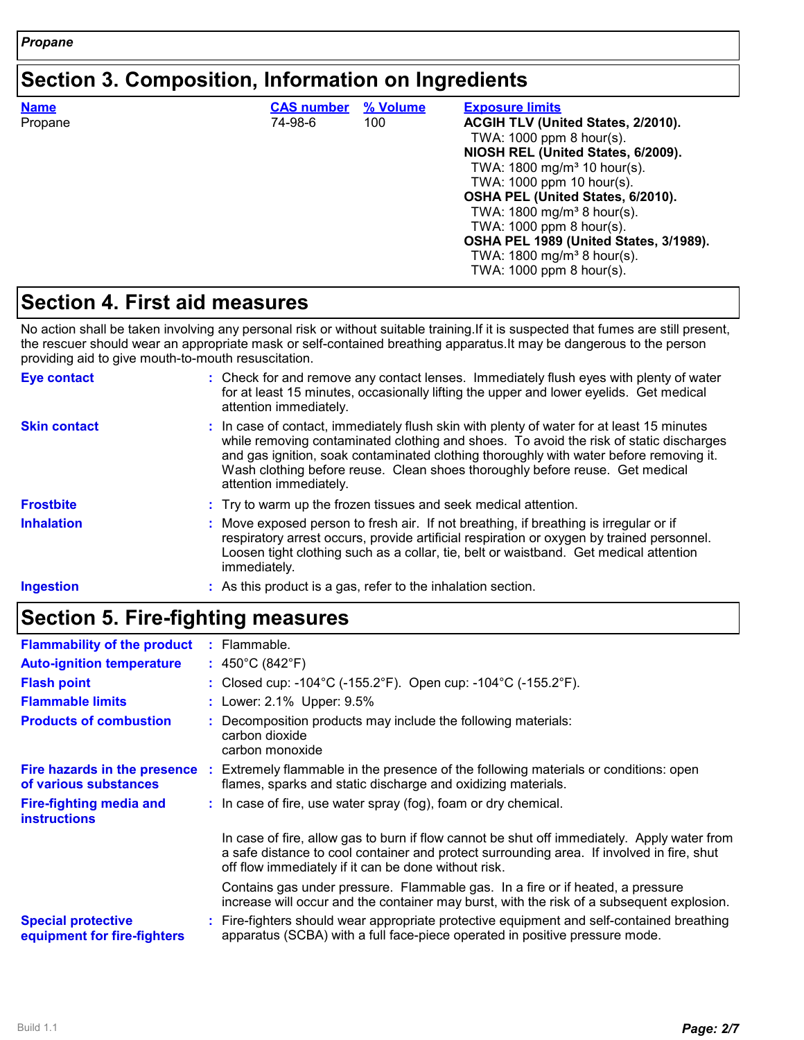#### **Section 3. Composition, Information on Ingredients**

| <b>Name</b><br>Propane | <b>CAS number</b><br>74-98-6 | % Volume<br>100 | <b>Exposure limits</b><br>ACGIH TLV (United States, 2/2010).<br>TWA: 1000 ppm 8 hour(s).<br>NIOSH REL (United States, 6/2009).<br>TWA: 1800 mg/m <sup>3</sup> 10 hour(s).<br>TWA: 1000 ppm 10 hour(s).<br>OSHA PEL (United States, 6/2010).<br>TWA: $1800 \text{ mg/m}^3$ 8 hour(s).<br>TWA: 1000 ppm 8 hour(s). |
|------------------------|------------------------------|-----------------|------------------------------------------------------------------------------------------------------------------------------------------------------------------------------------------------------------------------------------------------------------------------------------------------------------------|
|                        |                              |                 | OSHA PEL 1989 (United States, 3/1989).<br>TWA: $1800 \text{ mg/m}^3$ 8 hour(s).<br>TWA: 1000 ppm 8 hour(s).                                                                                                                                                                                                      |

#### **Section 4. First aid measures**

No action shall be taken involving any personal risk or without suitable training.If it is suspected that fumes are still present, the rescuer should wear an appropriate mask or self-contained breathing apparatus.It may be dangerous to the person providing aid to give mouth-to-mouth resuscitation.

| <b>Eye contact</b>  | : Check for and remove any contact lenses. Immediately flush eyes with plenty of water<br>for at least 15 minutes, occasionally lifting the upper and lower eyelids. Get medical<br>attention immediately.                                                                                                                                                                              |
|---------------------|-----------------------------------------------------------------------------------------------------------------------------------------------------------------------------------------------------------------------------------------------------------------------------------------------------------------------------------------------------------------------------------------|
| <b>Skin contact</b> | : In case of contact, immediately flush skin with plenty of water for at least 15 minutes<br>while removing contaminated clothing and shoes. To avoid the risk of static discharges<br>and gas ignition, soak contaminated clothing thoroughly with water before removing it.<br>Wash clothing before reuse. Clean shoes thoroughly before reuse. Get medical<br>attention immediately. |
| <b>Frostbite</b>    | : Try to warm up the frozen tissues and seek medical attention.                                                                                                                                                                                                                                                                                                                         |
| <b>Inhalation</b>   | : Move exposed person to fresh air. If not breathing, if breathing is irregular or if<br>respiratory arrest occurs, provide artificial respiration or oxygen by trained personnel.<br>Loosen tight clothing such as a collar, tie, belt or waistband. Get medical attention<br>immediately.                                                                                             |
| <b>Ingestion</b>    | : As this product is a gas, refer to the inhalation section.                                                                                                                                                                                                                                                                                                                            |

#### **Section 5. Fire-fighting measures**

| <b>Flammability of the product</b>                       | : Flammable.                                                                                                                                                                                                                                     |
|----------------------------------------------------------|--------------------------------------------------------------------------------------------------------------------------------------------------------------------------------------------------------------------------------------------------|
| <b>Auto-ignition temperature</b>                         | : $450^{\circ}$ C (842 $^{\circ}$ F)                                                                                                                                                                                                             |
| <b>Flash point</b>                                       | : Closed cup: -104°C (-155.2°F). Open cup: -104°C (-155.2°F).                                                                                                                                                                                    |
| <b>Flammable limits</b>                                  | : Lower: 2.1% Upper: 9.5%                                                                                                                                                                                                                        |
| <b>Products of combustion</b>                            | : Decomposition products may include the following materials:<br>carbon dioxide<br>carbon monoxide                                                                                                                                               |
| Fire hazards in the presence<br>of various substances    | : Extremely flammable in the presence of the following materials or conditions: open<br>flames, sparks and static discharge and oxidizing materials.                                                                                             |
| Fire-fighting media and<br><b>instructions</b>           | : In case of fire, use water spray (fog), foam or dry chemical.                                                                                                                                                                                  |
|                                                          | In case of fire, allow gas to burn if flow cannot be shut off immediately. Apply water from<br>a safe distance to cool container and protect surrounding area. If involved in fire, shut<br>off flow immediately if it can be done without risk. |
|                                                          | Contains gas under pressure. Flammable gas. In a fire or if heated, a pressure<br>increase will occur and the container may burst, with the risk of a subsequent explosion.                                                                      |
| <b>Special protective</b><br>equipment for fire-fighters | : Fire-fighters should wear appropriate protective equipment and self-contained breathing<br>apparatus (SCBA) with a full face-piece operated in positive pressure mode.                                                                         |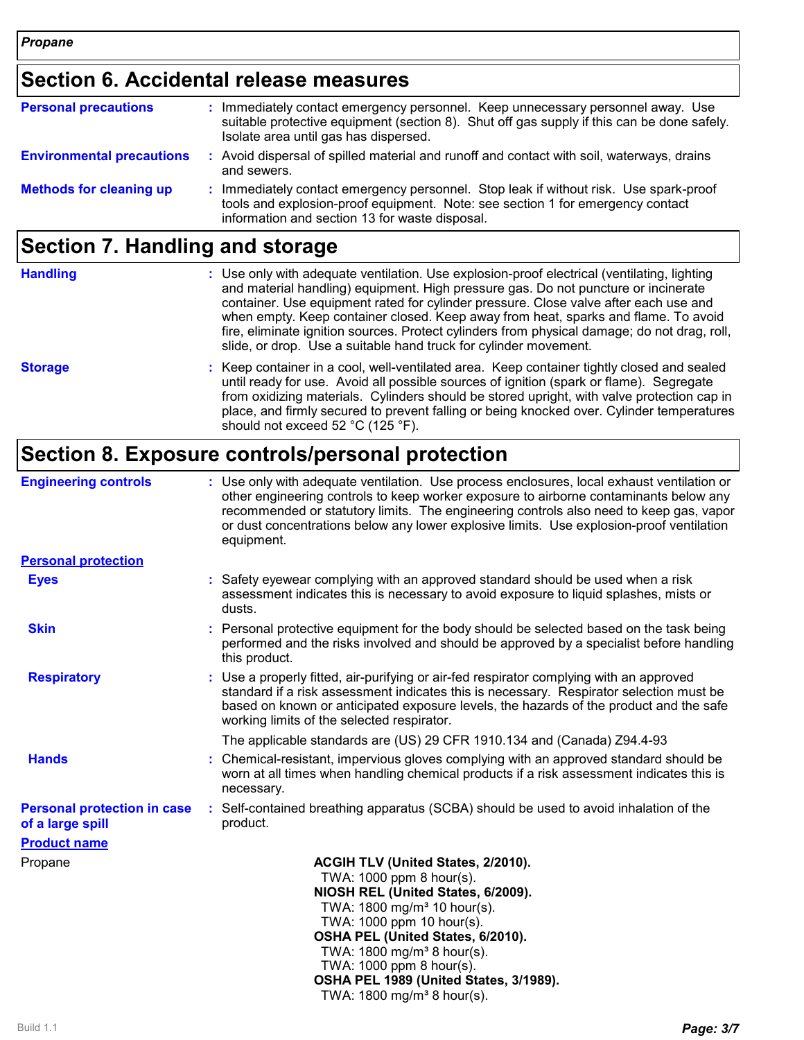# **Section 6. Accidental release measures**

| <b>Personal precautions</b>      | : Immediately contact emergency personnel. Keep unnecessary personnel away. Use<br>suitable protective equipment (section 8). Shut off gas supply if this can be done safely.<br>Isolate area until gas has dispersed. |
|----------------------------------|------------------------------------------------------------------------------------------------------------------------------------------------------------------------------------------------------------------------|
| <b>Environmental precautions</b> | : Avoid dispersal of spilled material and runoff and contact with soil, waterways, drains<br>and sewers.                                                                                                               |
| <b>Methods for cleaning up</b>   | : Immediately contact emergency personnel. Stop leak if without risk. Use spark-proof<br>tools and explosion-proof equipment. Note: see section 1 for emergency contact                                                |

information and section 13 for waste disposal.

# **Section 7. Handling and storage**

| <b>Handling</b> | : Use only with adequate ventilation. Use explosion-proof electrical (ventilating, lighting<br>and material handling) equipment. High pressure gas. Do not puncture or incinerate<br>container. Use equipment rated for cylinder pressure. Close valve after each use and<br>when empty. Keep container closed. Keep away from heat, sparks and flame. To avoid<br>fire, eliminate ignition sources. Protect cylinders from physical damage; do not drag, roll,<br>slide, or drop. Use a suitable hand truck for cylinder movement. |
|-----------------|-------------------------------------------------------------------------------------------------------------------------------------------------------------------------------------------------------------------------------------------------------------------------------------------------------------------------------------------------------------------------------------------------------------------------------------------------------------------------------------------------------------------------------------|
| <b>Storage</b>  | : Keep container in a cool, well-ventilated area. Keep container tightly closed and sealed<br>until ready for use. Avoid all possible sources of ignition (spark or flame). Segregate<br>from oxidizing materials. Cylinders should be stored upright, with valve protection cap in<br>place, and firmly secured to prevent falling or being knocked over. Cylinder temperatures<br>should not exceed 52 °C (125 °F).                                                                                                               |

### **Section 8. Exposure controls/personal protection**

| <b>Engineering controls</b>                            | : Use only with adequate ventilation. Use process enclosures, local exhaust ventilation or<br>other engineering controls to keep worker exposure to airborne contaminants below any<br>recommended or statutory limits. The engineering controls also need to keep gas, vapor<br>or dust concentrations below any lower explosive limits. Use explosion-proof ventilation<br>equipment. |
|--------------------------------------------------------|-----------------------------------------------------------------------------------------------------------------------------------------------------------------------------------------------------------------------------------------------------------------------------------------------------------------------------------------------------------------------------------------|
| <b>Personal protection</b>                             |                                                                                                                                                                                                                                                                                                                                                                                         |
| <b>Eyes</b>                                            | : Safety eyewear complying with an approved standard should be used when a risk<br>assessment indicates this is necessary to avoid exposure to liquid splashes, mists or<br>dusts.                                                                                                                                                                                                      |
| <b>Skin</b>                                            | : Personal protective equipment for the body should be selected based on the task being<br>performed and the risks involved and should be approved by a specialist before handling<br>this product.                                                                                                                                                                                     |
| <b>Respiratory</b>                                     | : Use a properly fitted, air-purifying or air-fed respirator complying with an approved<br>standard if a risk assessment indicates this is necessary. Respirator selection must be<br>based on known or anticipated exposure levels, the hazards of the product and the safe<br>working limits of the selected respirator.                                                              |
|                                                        | The applicable standards are (US) 29 CFR 1910.134 and (Canada) Z94.4-93                                                                                                                                                                                                                                                                                                                 |
| <b>Hands</b>                                           | : Chemical-resistant, impervious gloves complying with an approved standard should be<br>worn at all times when handling chemical products if a risk assessment indicates this is<br>necessary.                                                                                                                                                                                         |
| <b>Personal protection in case</b><br>of a large spill | : Self-contained breathing apparatus (SCBA) should be used to avoid inhalation of the<br>product.                                                                                                                                                                                                                                                                                       |
| <b>Product name</b>                                    |                                                                                                                                                                                                                                                                                                                                                                                         |
| Propane                                                | ACGIH TLV (United States, 2/2010).<br>TWA: 1000 ppm 8 hour(s).<br>NIOSH REL (United States, 6/2009).<br>TWA: 1800 mg/m <sup>3</sup> 10 hour(s).<br>TWA: 1000 ppm 10 hour(s).<br>OSHA PEL (United States, 6/2010).<br>TWA: 1800 mg/m <sup>3</sup> 8 hour(s).<br>TWA: 1000 ppm 8 hour(s).<br>OSHA PEL 1989 (United States, 3/1989).<br>TWA: $1800 \text{ mg/m}^3$ 8 hour(s).              |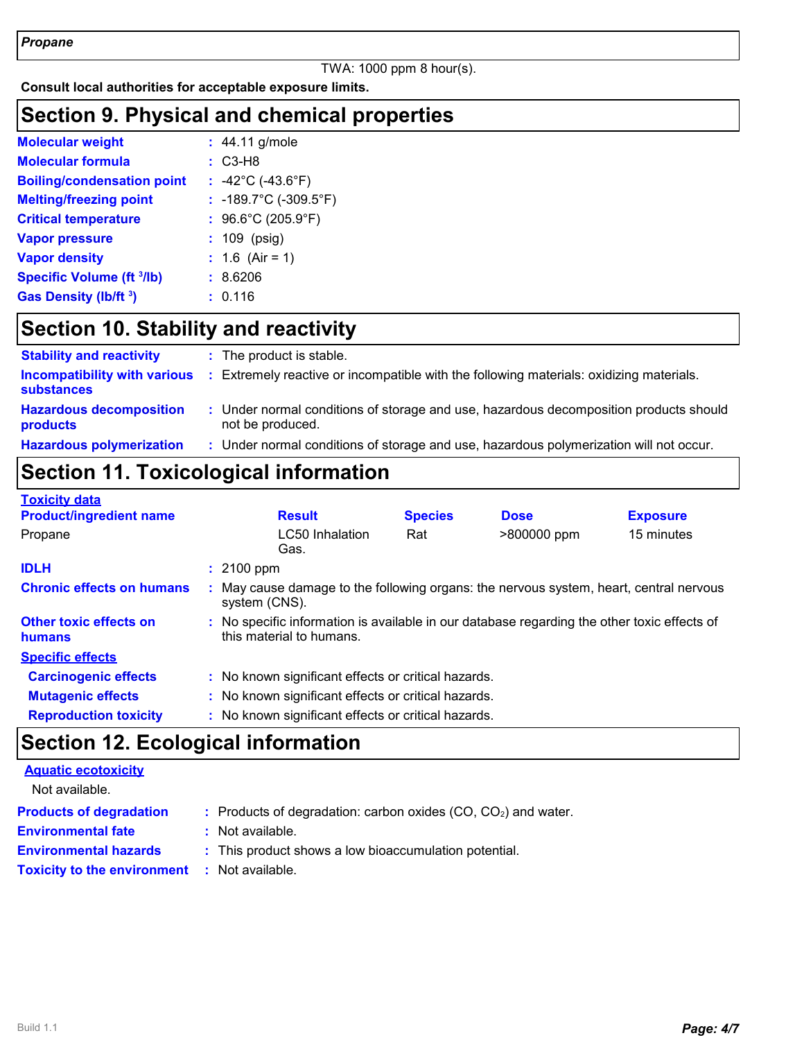#### TWA: 1000 ppm 8 hour(s).

**Consult local authorities for acceptable exposure limits.**

#### **Section 9. Physical and chemical properties**

| <b>Molecular weight</b>           | $: 44.11$ g/mole                        |
|-----------------------------------|-----------------------------------------|
| <b>Molecular formula</b>          | $: C3-H8$                               |
| <b>Boiling/condensation point</b> | : $-42^{\circ}$ C ( $-43.6^{\circ}$ F)  |
| <b>Melting/freezing point</b>     | : -189.7°C (-309.5°F)                   |
| <b>Critical temperature</b>       | : $96.6^{\circ}$ C (205.9 $^{\circ}$ F) |
| <b>Vapor pressure</b>             | $: 109$ (psig)                          |
| <b>Vapor density</b>              | : $1.6$ (Air = 1)                       |
| Specific Volume (ft 3/lb)         | : 8.6206                                |
| Gas Density (lb/ft <sup>3</sup> ) | : 0.116                                 |

# **Section 10. Stability and reactivity**

| <b>Stability and reactivity</b>                          | : The product is stable.                                                                                  |
|----------------------------------------------------------|-----------------------------------------------------------------------------------------------------------|
| <b>Incompatibility with various</b><br><b>substances</b> | : Extremely reactive or incompatible with the following materials: oxidizing materials.                   |
| <b>Hazardous decomposition</b><br>products               | : Under normal conditions of storage and use, hazardous decomposition products should<br>not be produced. |
| <b>Hazardous polymerization</b>                          | : Under normal conditions of storage and use, hazardous polymerization will not occur.                    |

# **Section 11. Toxicological information**

| <b>Toxicity data</b>                    |                                                                                                                         |                |             |                 |
|-----------------------------------------|-------------------------------------------------------------------------------------------------------------------------|----------------|-------------|-----------------|
| <b>Product/ingredient name</b>          | <b>Result</b>                                                                                                           | <b>Species</b> | <b>Dose</b> | <b>Exposure</b> |
| Propane                                 | <b>LC50</b> Inhalation<br>Gas.                                                                                          | Rat            | >800000 ppm | 15 minutes      |
| <b>IDLH</b>                             | $: 2100$ ppm                                                                                                            |                |             |                 |
| <b>Chronic effects on humans</b>        | May cause damage to the following organs: the nervous system, heart, central nervous<br>system (CNS).                   |                |             |                 |
| <b>Other toxic effects on</b><br>humans | : No specific information is available in our database regarding the other toxic effects of<br>this material to humans. |                |             |                 |
| <b>Specific effects</b>                 |                                                                                                                         |                |             |                 |
| <b>Carcinogenic effects</b>             | : No known significant effects or critical hazards.                                                                     |                |             |                 |
| <b>Mutagenic effects</b>                | : No known significant effects or critical hazards.                                                                     |                |             |                 |
| <b>Reproduction toxicity</b>            | : No known significant effects or critical hazards.                                                                     |                |             |                 |

#### **Section 12. Ecological information**

|               | <b>Aquatic ecotoxicity</b> |  |
|---------------|----------------------------|--|
| Not ovojlabla |                            |  |

| Not available.                                      |                                                                 |
|-----------------------------------------------------|-----------------------------------------------------------------|
| <b>Products of degradation</b>                      | : Products of degradation: carbon oxides $(CO, CO2)$ and water. |
| <b>Environmental fate</b>                           | : Not available.                                                |
| <b>Environmental hazards</b>                        | : This product shows a low bioaccumulation potential.           |
| <b>Toxicity to the environment : Not available.</b> |                                                                 |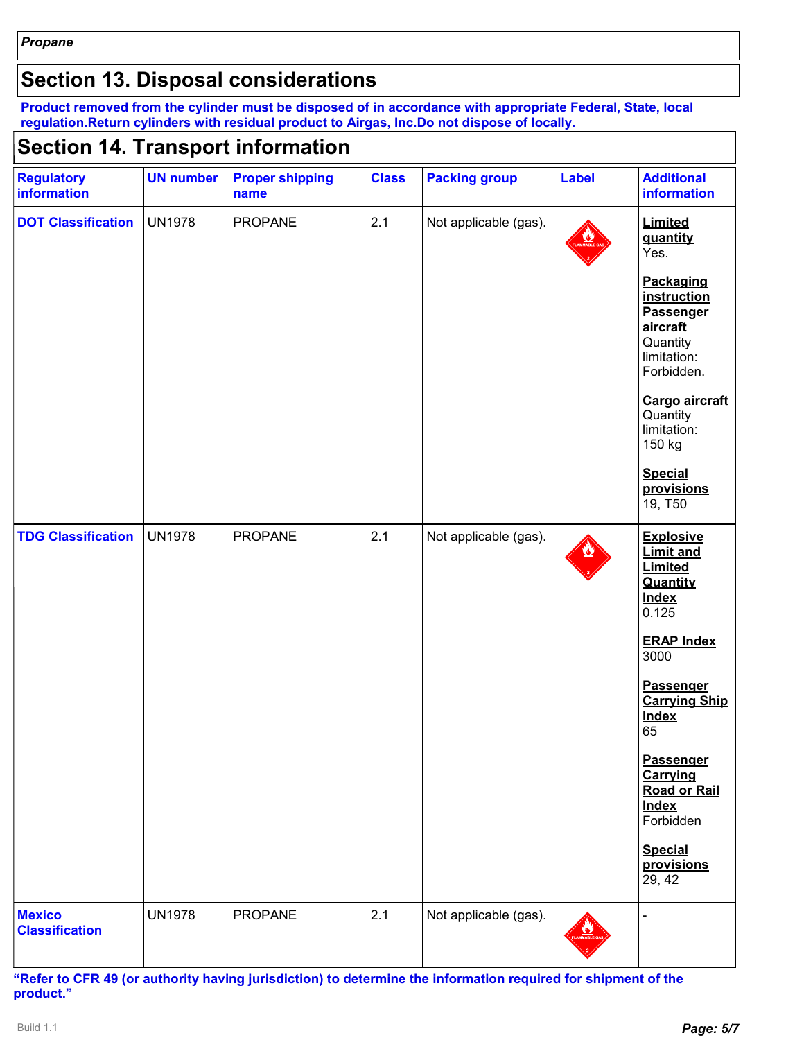### **Section 13. Disposal considerations**

**Product removed from the cylinder must be disposed of in accordance with appropriate Federal, State, local regulation.Return cylinders with residual product to Airgas, Inc.Do not dispose of locally.**

#### **Section 14. Transport information**

| <b>Regulatory</b><br>information       | <b>UN number</b> | <b>Proper shipping</b><br>name | <b>Class</b> | <b>Packing group</b>  | <b>Label</b> | <b>Additional</b><br><b>information</b>                                                                                                                                                                                                                                                                    |
|----------------------------------------|------------------|--------------------------------|--------------|-----------------------|--------------|------------------------------------------------------------------------------------------------------------------------------------------------------------------------------------------------------------------------------------------------------------------------------------------------------------|
| <b>DOT Classification</b>              | <b>UN1978</b>    | <b>PROPANE</b>                 | 2.1          | Not applicable (gas). |              | Limited<br>quantity<br>Yes.<br>Packaging<br>instruction<br>Passenger<br>aircraft<br>Quantity<br>limitation:<br>Forbidden.<br>Cargo aircraft<br>Quantity<br>limitation:<br>150 kg<br><b>Special</b><br>provisions<br>19, T50                                                                                |
| <b>TDG Classification</b>              | <b>UN1978</b>    | PROPANE                        | 2.1          | Not applicable (gas). |              | <b>Explosive</b><br><b>Limit and</b><br>Limited<br>Quantity<br><b>Index</b><br>0.125<br><b>ERAP Index</b><br>3000<br>Passenger<br><b>Carrying Ship</b><br><b>Index</b><br>65<br><b>Passenger</b><br>Carrying<br><b>Road or Rail</b><br><b>Index</b><br>Forbidden<br><b>Special</b><br>provisions<br>29, 42 |
| <b>Mexico</b><br><b>Classification</b> | <b>UN1978</b>    | PROPANE                        | 2.1          | Not applicable (gas). |              |                                                                                                                                                                                                                                                                                                            |

**"Refer to CFR 49 (or authority having jurisdiction) to determine the information required for shipment of the product."**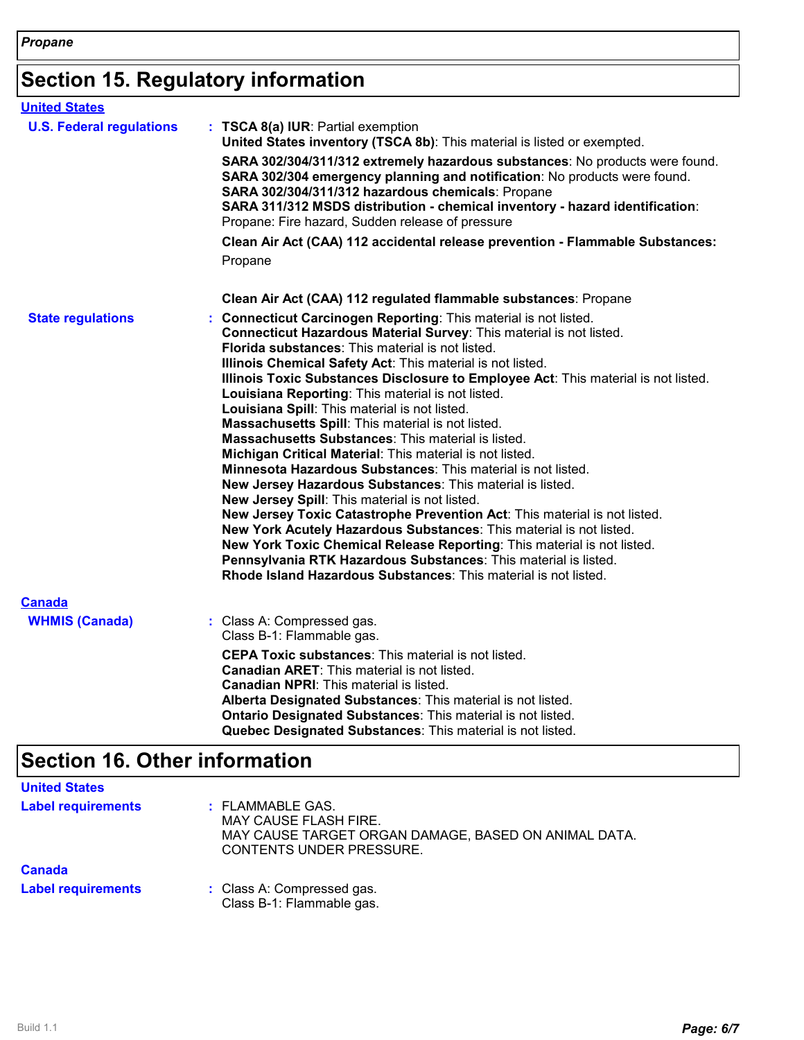# **Section 15. Regulatory information**

| <b>United States</b>                   |                                                                                                                                                                                                                                                                                                                                                                                                                                                                                                                                                                                                                                                                                                                                                                                                                                                                                                                                                                                                                                                                                                                                                                                  |
|----------------------------------------|----------------------------------------------------------------------------------------------------------------------------------------------------------------------------------------------------------------------------------------------------------------------------------------------------------------------------------------------------------------------------------------------------------------------------------------------------------------------------------------------------------------------------------------------------------------------------------------------------------------------------------------------------------------------------------------------------------------------------------------------------------------------------------------------------------------------------------------------------------------------------------------------------------------------------------------------------------------------------------------------------------------------------------------------------------------------------------------------------------------------------------------------------------------------------------|
| <b>U.S. Federal regulations</b>        | : TSCA 8(a) IUR: Partial exemption<br>United States inventory (TSCA 8b): This material is listed or exempted.<br>SARA 302/304/311/312 extremely hazardous substances: No products were found.<br>SARA 302/304 emergency planning and notification: No products were found.<br>SARA 302/304/311/312 hazardous chemicals: Propane<br>SARA 311/312 MSDS distribution - chemical inventory - hazard identification:<br>Propane: Fire hazard, Sudden release of pressure<br>Clean Air Act (CAA) 112 accidental release prevention - Flammable Substances:                                                                                                                                                                                                                                                                                                                                                                                                                                                                                                                                                                                                                             |
|                                        | Propane                                                                                                                                                                                                                                                                                                                                                                                                                                                                                                                                                                                                                                                                                                                                                                                                                                                                                                                                                                                                                                                                                                                                                                          |
|                                        | Clean Air Act (CAA) 112 regulated flammable substances: Propane                                                                                                                                                                                                                                                                                                                                                                                                                                                                                                                                                                                                                                                                                                                                                                                                                                                                                                                                                                                                                                                                                                                  |
| <b>State regulations</b>               | : Connecticut Carcinogen Reporting: This material is not listed.<br>Connecticut Hazardous Material Survey: This material is not listed.<br>Florida substances: This material is not listed.<br>Illinois Chemical Safety Act: This material is not listed.<br>Illinois Toxic Substances Disclosure to Employee Act: This material is not listed.<br>Louisiana Reporting: This material is not listed.<br>Louisiana Spill: This material is not listed.<br>Massachusetts Spill: This material is not listed.<br>Massachusetts Substances: This material is listed.<br>Michigan Critical Material: This material is not listed.<br>Minnesota Hazardous Substances: This material is not listed.<br>New Jersey Hazardous Substances: This material is listed.<br>New Jersey Spill: This material is not listed.<br>New Jersey Toxic Catastrophe Prevention Act: This material is not listed.<br>New York Acutely Hazardous Substances: This material is not listed.<br>New York Toxic Chemical Release Reporting: This material is not listed.<br>Pennsylvania RTK Hazardous Substances: This material is listed.<br>Rhode Island Hazardous Substances: This material is not listed. |
| <b>Canada</b><br><b>WHMIS (Canada)</b> | : Class A: Compressed gas.<br>Class B-1: Flammable gas.<br><b>CEPA Toxic substances:</b> This material is not listed.<br><b>Canadian ARET:</b> This material is not listed.<br><b>Canadian NPRI:</b> This material is listed.<br>Alberta Designated Substances: This material is not listed.<br>Ontario Designated Substances: This material is not listed.<br>Quebec Designated Substances: This material is not listed.                                                                                                                                                                                                                                                                                                                                                                                                                                                                                                                                                                                                                                                                                                                                                        |

# **Section 16. Other information**

| <b>United States</b>      |                                                                                                                                             |
|---------------------------|---------------------------------------------------------------------------------------------------------------------------------------------|
| <b>Label requirements</b> | : FLAMMABLE GAS.<br><b>MAY CAUSE FLASH FIRE.</b><br>MAY CAUSE TARGET ORGAN DAMAGE, BASED ON ANIMAL DATA.<br><b>CONTENTS UNDER PRESSURE.</b> |
| <b>Canada</b>             |                                                                                                                                             |
| <b>Label requirements</b> | : Class A: Compressed gas.<br>Class B-1: Flammable gas.                                                                                     |